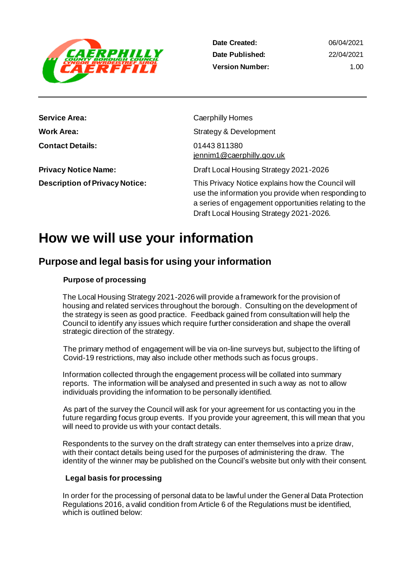

**Date Created: Date Published: Version Number:**

06/04/2021 22/04/2021 1.00

| <b>Service Area:</b>                  | Caerphilly Homes                                                                                                                                                                                           |
|---------------------------------------|------------------------------------------------------------------------------------------------------------------------------------------------------------------------------------------------------------|
| <b>Work Area:</b>                     | Strategy & Development                                                                                                                                                                                     |
| <b>Contact Details:</b>               | 01443811380<br>jennim1@caerphilly.gov.uk                                                                                                                                                                   |
| <b>Privacy Notice Name:</b>           | Draft Local Housing Strategy 2021-2026                                                                                                                                                                     |
| <b>Description of Privacy Notice:</b> | This Privacy Notice explains how the Council will<br>use the information you provide when responding to<br>a series of engagement opportunities relating to the<br>Draft Local Housing Strategy 2021-2026. |

## **How we will use your information**

## **Purpose and legal basis for using your information**

#### **Purpose of processing**

The Local Housing Strategy 2021-2026 will provide a framework for the provision of housing and related services throughout the borough. Consulting on the development of the strategy is seen as good practice. Feedback gained from consultation will help the Council to identify any issues which require further consideration and shape the overall strategic direction of the strategy.

The primary method of engagement will be via on-line surveys but, subject to the lifting of Covid-19 restrictions, may also include other methods such as focus groups.

Information collected through the engagement process will be collated into summary reports. The information will be analysed and presented in such a way as not to allow individuals providing the information to be personally identified.

As part of the survey the Council will ask for your agreement for us contacting you in the future regarding focus group events. If you provide your agreement, this will mean that you will need to provide us with your contact details.

Respondents to the survey on the draft strategy can enter themselves into a prize draw, with their contact details being used for the purposes of administering the draw. The identity of the winner may be published on the Council's website but only with their consent.

#### **Legal basis for processing**

In order for the processing of personal data to be lawful under the General Data Protection Regulations 2016, a valid condition from Article 6 of the Regulations must be identified, which is outlined below: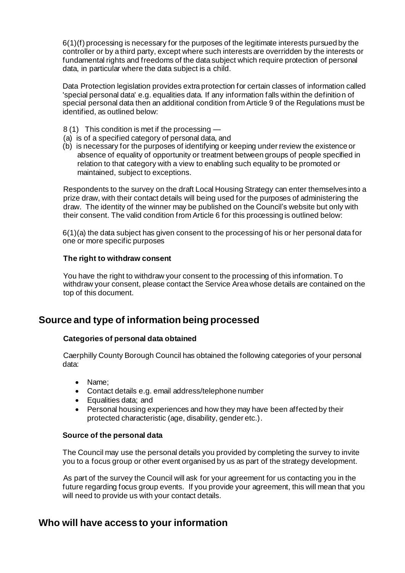$6(1)(f)$  processing is necessary for the purposes of the legitimate interests pursued by the controller or by a third party, except where such interests are overridden by the interests or fundamental rights and freedoms of the data subject which require protection of personal data, in particular where the data subject is a child.

Data Protection legislation provides extra protection for certain classes of information called 'special personal data' e.g. equalities data. If any information falls within the definition of special personal data then an additional condition from Article 9 of the Regulations must be identified, as outlined below:

- 8 (1) This condition is met if the processing —
- (a) is of a specified category of personal data, and
- (b) is necessary for the purposes of identifying or keeping under review the existence or absence of equality of opportunity or treatment between groups of people specified in relation to that category with a view to enabling such equality to be promoted or maintained, subject to exceptions.

Respondents to the survey on the draft Local Housing Strategy can enter themselves into a prize draw, with their contact details will being used for the purposes of administering the draw. The identity of the winner may be published on the Council's website but only with their consent. The valid condition from Article 6 for this processing is outlined below:

6(1)(a) the data subject has given consent to the processing of his or her personal data for one or more specific purposes

#### **The right to withdraw consent**

You have the right to withdraw your consent to the processing of this information. To withdraw your consent, please contact the Service Area whose details are contained on the top of this document.

## **Source and type of information being processed**

#### **Categories of personal data obtained**

Caerphilly County Borough Council has obtained the following categories of your personal data:

- Name;
- Contact details e.g. email address/telephone number
- Equalities data; and
- Personal housing experiences and how they may have been affected by their protected characteristic (age, disability, gender etc.).

#### **Source of the personal data**

The Council may use the personal details you provided by completing the survey to invite you to a focus group or other event organised by us as part of the strategy development.

As part of the survey the Council will ask for your agreement for us contacting you in the future regarding focus group events. If you provide your agreement, this will mean that you will need to provide us with your contact details.

## **Who will have access to your information**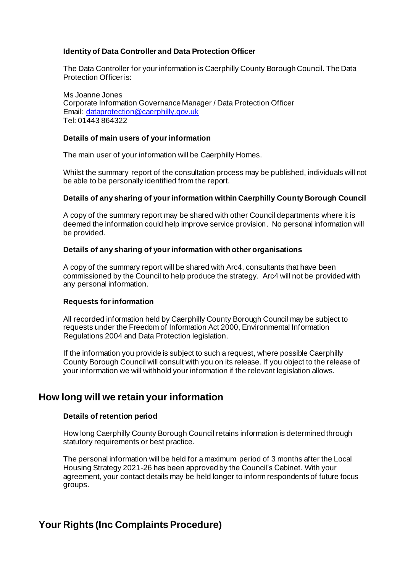#### **Identity of Data Controller and Data Protection Officer**

The Data Controller for your information is Caerphilly County Borough Council. The Data Protection Officer is:

Ms Joanne Jones Corporate Information Governance Manager / Data Protection Officer Email: [dataprotection@caerphilly.gov.uk](mailto:dataprotection@caerphilly.gov.uk) Tel: 01443 864322

#### **Details of main users of your information**

The main user of your information will be Caerphilly Homes.

Whilst the summary report of the consultation process may be published, individuals will not be able to be personally identified from the report.

#### **Details of any sharing of your information within Caerphilly County Borough Council**

A copy of the summary report may be shared with other Council departments where it is deemed the information could help improve service provision. No personal information will be provided.

#### **Details of any sharing of your information with other organisations**

A copy of the summary report will be shared with Arc4, consultants that have been commissioned by the Council to help produce the strategy. Arc4 will not be provided with any personal information.

#### **Requests for information**

All recorded information held by Caerphilly County Borough Council may be subject to requests under the Freedom of Information Act 2000, Environmental Information Regulations 2004 and Data Protection legislation.

If the information you provide is subject to such a request, where possible Caerphilly County Borough Council will consult with you on its release. If you object to the release of your information we will withhold your information if the relevant legislation allows.

### **How long will we retain your information**

#### **Details of retention period**

How long Caerphilly County Borough Council retains information is determined through statutory requirements or best practice.

The personal information will be held for a maximum period of 3 months after the Local Housing Strategy 2021-26 has been approved by the Council's Cabinet. With your agreement, your contact details may be held longer to inform respondents of future focus groups.

## **Your Rights (Inc Complaints Procedure)**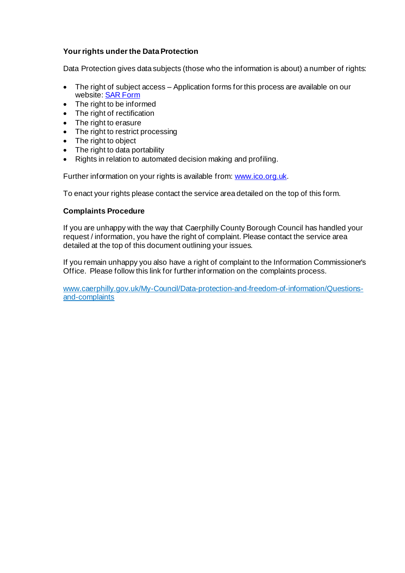#### **Your rights under the Data Protection**

Data Protection gives data subjects (those who the information is about) a number of rights:

- The right of subject access Application forms for this process are available on our website[: SAR Form](http://www.caerphilly.gov.uk/CaerphillyDocs/Council-and-democracy/sar_form.aspx)
- The right to be informed
- The right of rectification
- The right to erasure
- The right to restrict processing
- The right to object
- The right to data portability
- Rights in relation to automated decision making and profiling.

Further information on your rights is available from[: www.ico.org.uk](http://www.ico.org.uk/).

To enact your rights please contact the service area detailed on the top of this form.

#### **Complaints Procedure**

If you are unhappy with the way that Caerphilly County Borough Council has handled your request / information, you have the right of complaint. Please contact the service area detailed at the top of this document outlining your issues.

If you remain unhappy you also have a right of complaint to the Information Commissioner's Office. Please follow this link for further information on the complaints process.

[www.caerphilly.gov.uk/My-Council/Data-protection-and-freedom-of-information/Questions](http://www.caerphilly.gov.uk/My-Council/Data-protection-and-freedom-of-information/Questions-and-complaints)[and-complaints](http://www.caerphilly.gov.uk/My-Council/Data-protection-and-freedom-of-information/Questions-and-complaints)